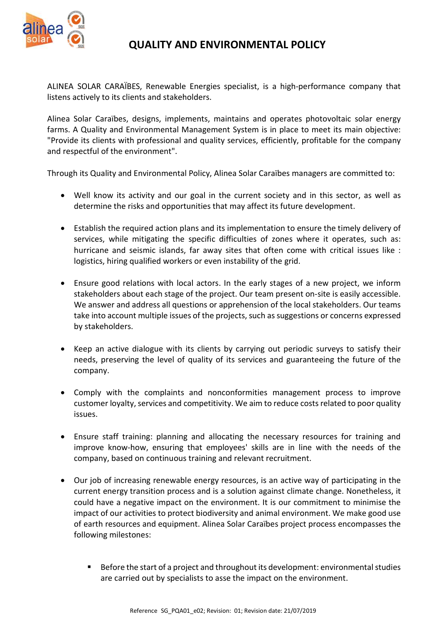

## QUALITY AND ENVIRONMENTAL POLICY

ALINEA SOLAR CARAÏBES, Renewable Energies specialist, is a high-performance company that listens actively to its clients and stakeholders.

Alinea Solar Caraïbes, designs, implements, maintains and operates photovoltaic solar energy farms. A Quality and Environmental Management System is in place to meet its main objective: "Provide its clients with professional and quality services, efficiently, profitable for the company and respectful of the environment".

Through its Quality and Environmental Policy, Alinea Solar Caraïbes managers are committed to:

- Well know its activity and our goal in the current society and in this sector, as well as determine the risks and opportunities that may affect its future development.
- Establish the required action plans and its implementation to ensure the timely delivery of services, while mitigating the specific difficulties of zones where it operates, such as: hurricane and seismic islands, far away sites that often come with critical issues like : logistics, hiring qualified workers or even instability of the grid.
- Ensure good relations with local actors. In the early stages of a new project, we inform stakeholders about each stage of the project. Our team present on-site is easily accessible. We answer and address all questions or apprehension of the local stakeholders. Our teams take into account multiple issues of the projects, such as suggestions or concerns expressed by stakeholders.
- Keep an active dialogue with its clients by carrying out periodic surveys to satisfy their needs, preserving the level of quality of its services and guaranteeing the future of the company.
- Comply with the complaints and nonconformities management process to improve customer loyalty, services and competitivity. We aim to reduce costs related to poor quality issues.
- Ensure staff training: planning and allocating the necessary resources for training and improve know-how, ensuring that employees' skills are in line with the needs of the company, based on continuous training and relevant recruitment.
- Our job of increasing renewable energy resources, is an active way of participating in the current energy transition process and is a solution against climate change. Nonetheless, it could have a negative impact on the environment. It is our commitment to minimise the impact of our activities to protect biodiversity and animal environment. We make good use of earth resources and equipment. Alinea Solar Caraïbes project process encompasses the following milestones:
	- Before the start of a project and throughout its development: environmental studies are carried out by specialists to asse the impact on the environment.